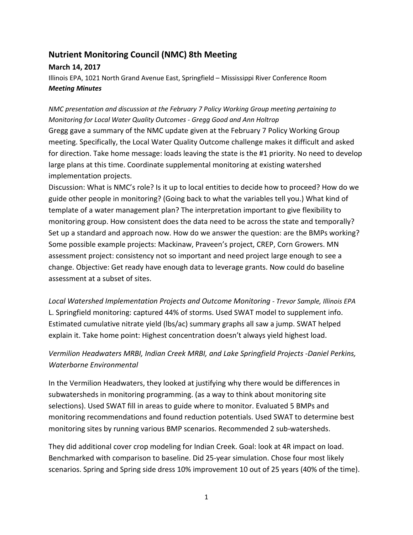# **Nutrient Monitoring Council (NMC) 8th Meeting**

### **March 14, 2017**

Illinois EPA, 1021 North Grand Avenue East, Springfield – Mississippi River Conference Room *Meeting Minutes*

## *NMC presentation and discussion at the February 7 Policy Working Group meeting pertaining to Monitoring for Local Water Quality Outcomes - Gregg Good and Ann Holtrop*

Gregg gave a summary of the NMC update given at the February 7 Policy Working Group meeting. Specifically, the Local Water Quality Outcome challenge makes it difficult and asked for direction. Take home message: loads leaving the state is the #1 priority. No need to develop large plans at this time. Coordinate supplemental monitoring at existing watershed implementation projects.

Discussion: What is NMC's role? Is it up to local entities to decide how to proceed? How do we guide other people in monitoring? (Going back to what the variables tell you.) What kind of template of a water management plan? The interpretation important to give flexibility to monitoring group. How consistent does the data need to be across the state and temporally? Set up a standard and approach now. How do we answer the question: are the BMPs working? Some possible example projects: Mackinaw, Praveen's project, CREP, Corn Growers. MN assessment project: consistency not so important and need project large enough to see a change. Objective: Get ready have enough data to leverage grants. Now could do baseline assessment at a subset of sites.

*Local Watershed Implementation Projects and Outcome Monitoring - Trevor Sample, Illinois EPA* L. Springfield monitoring: captured 44% of storms. Used SWAT model to supplement info. Estimated cumulative nitrate yield (lbs/ac) summary graphs all saw a jump. SWAT helped explain it. Take home point: Highest concentration doesn't always yield highest load.

## *Vermilion Headwaters MRBI, Indian Creek MRBI, and Lake Springfield Projects -Daniel Perkins, Waterborne Environmental*

In the Vermilion Headwaters, they looked at justifying why there would be differences in subwatersheds in monitoring programming. (as a way to think about monitoring site selections). Used SWAT fill in areas to guide where to monitor. Evaluated 5 BMPs and monitoring recommendations and found reduction potentials. Used SWAT to determine best monitoring sites by running various BMP scenarios. Recommended 2 sub-watersheds.

They did additional cover crop modeling for Indian Creek. Goal: look at 4R impact on load. Benchmarked with comparison to baseline. Did 25-year simulation. Chose four most likely scenarios. Spring and Spring side dress 10% improvement 10 out of 25 years (40% of the time).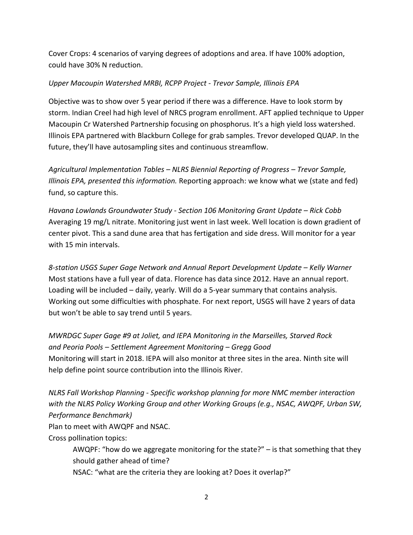Cover Crops: 4 scenarios of varying degrees of adoptions and area. If have 100% adoption, could have 30% N reduction.

### *Upper Macoupin Watershed MRBI, RCPP Project* - *Trevor Sample, Illinois EPA*

Objective was to show over 5 year period if there was a difference. Have to look storm by storm. Indian Creel had high level of NRCS program enrollment. AFT applied technique to Upper Macoupin Cr Watershed Partnership focusing on phosphorus. It's a high yield loss watershed. Illinois EPA partnered with Blackburn College for grab samples. Trevor developed QUAP. In the future, they'll have autosampling sites and continuous streamflow.

*Agricultural Implementation Tables – NLRS Biennial Reporting of Progress – Trevor Sample, Illinois EPA, presented this information.* Reporting approach: we know what we (state and fed) fund, so capture this.

*Havana Lowlands Groundwater Study - Section 106 Monitoring Grant Update – Rick Cobb* Averaging 19 mg/L nitrate. Monitoring just went in last week. Well location is down gradient of center pivot. This a sand dune area that has fertigation and side dress. Will monitor for a year with 15 min intervals.

*8-station USGS Super Gage Network and Annual Report Development Update – Kelly Warner* Most stations have a full year of data. Florence has data since 2012. Have an annual report. Loading will be included – daily, yearly. Will do a 5-year summary that contains analysis. Working out some difficulties with phosphate. For next report, USGS will have 2 years of data but won't be able to say trend until 5 years.

*MWRDGC Super Gage #9 at Joliet, and IEPA Monitoring in the Marseilles, Starved Rock and Peoria Pools – Settlement Agreement Monitoring – Gregg Good* Monitoring will start in 2018. IEPA will also monitor at three sites in the area. Ninth site will help define point source contribution into the Illinois River.

*NLRS Fall Workshop Planning - Specific workshop planning for more NMC member interaction with the NLRS Policy Working Group and other Working Groups (e.g., NSAC, AWQPF, Urban SW, Performance Benchmark)* 

Plan to meet with AWQPF and NSAC.

Cross pollination topics:

AWQPF: "how do we aggregate monitoring for the state?" – is that something that they should gather ahead of time?

NSAC: "what are the criteria they are looking at? Does it overlap?"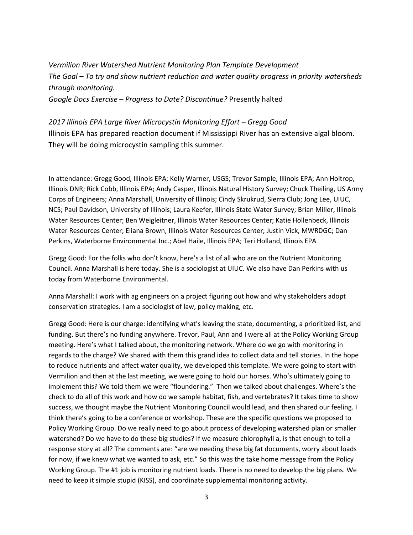*Vermilion River Watershed Nutrient Monitoring Plan Template Development The Goal – To try and show nutrient reduction and water quality progress in priority watersheds through monitoring. Google Docs Exercise – Progress to Date? Discontinue?* Presently halted

*2017 Illinois EPA Large River Microcystin Monitoring Effort – Gregg Good* Illinois EPA has prepared reaction document if Mississippi River has an extensive algal bloom. They will be doing microcystin sampling this summer.

In attendance: Gregg Good, Illinois EPA; Kelly Warner, USGS; Trevor Sample, Illinois EPA; Ann Holtrop, Illinois DNR; Rick Cobb, Illinois EPA; Andy Casper, Illinois Natural History Survey; Chuck Theiling, US Army Corps of Engineers; Anna Marshall, University of Illinois; Cindy Skrukrud, Sierra Club; Jong Lee, UIUC, NCS; Paul Davidson, University of Illinois; Laura Keefer, Illinois State Water Survey; Brian Miller, Illinois Water Resources Center; Ben Weigleitner, Illinois Water Resources Center; Katie Hollenbeck, Illinois Water Resources Center; Eliana Brown, Illinois Water Resources Center; Justin Vick, MWRDGC; Dan Perkins, Waterborne Environmental Inc.; Abel Haile, Illinois EPA; Teri Holland, Illinois EPA

Gregg Good: For the folks who don't know, here's a list of all who are on the Nutrient Monitoring Council. Anna Marshall is here today. She is a sociologist at UIUC. We also have Dan Perkins with us today from Waterborne Environmental.

Anna Marshall: I work with ag engineers on a project figuring out how and why stakeholders adopt conservation strategies. I am a sociologist of law, policy making, etc.

Gregg Good: Here is our charge: identifying what's leaving the state, documenting, a prioritized list, and funding. But there's no funding anywhere. Trevor, Paul, Ann and I were all at the Policy Working Group meeting. Here's what I talked about, the monitoring network. Where do we go with monitoring in regards to the charge? We shared with them this grand idea to collect data and tell stories. In the hope to reduce nutrients and affect water quality, we developed this template. We were going to start with Vermilion and then at the last meeting, we were going to hold our horses. Who's ultimately going to implement this? We told them we were "floundering." Then we talked about challenges. Where's the check to do all of this work and how do we sample habitat, fish, and vertebrates? It takes time to show success, we thought maybe the Nutrient Monitoring Council would lead, and then shared our feeling. I think there's going to be a conference or workshop. These are the specific questions we proposed to Policy Working Group. Do we really need to go about process of developing watershed plan or smaller watershed? Do we have to do these big studies? If we measure chlorophyll a, is that enough to tell a response story at all? The comments are: "are we needing these big fat documents, worry about loads for now, if we knew what we wanted to ask, etc." So this was the take home message from the Policy Working Group. The #1 job is monitoring nutrient loads. There is no need to develop the big plans. We need to keep it simple stupid (KISS), and coordinate supplemental monitoring activity.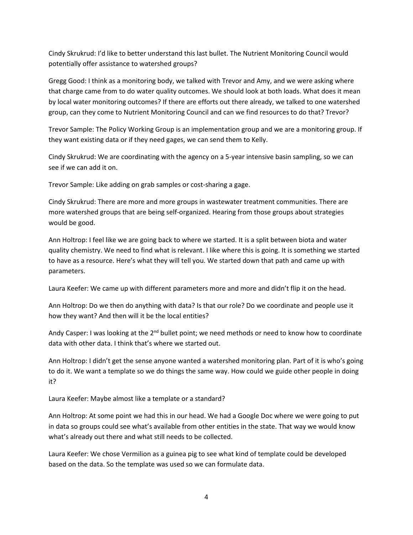Cindy Skrukrud: I'd like to better understand this last bullet. The Nutrient Monitoring Council would potentially offer assistance to watershed groups?

Gregg Good: I think as a monitoring body, we talked with Trevor and Amy, and we were asking where that charge came from to do water quality outcomes. We should look at both loads. What does it mean by local water monitoring outcomes? If there are efforts out there already, we talked to one watershed group, can they come to Nutrient Monitoring Council and can we find resources to do that? Trevor?

Trevor Sample: The Policy Working Group is an implementation group and we are a monitoring group. If they want existing data or if they need gages, we can send them to Kelly.

Cindy Skrukrud: We are coordinating with the agency on a 5-year intensive basin sampling, so we can see if we can add it on.

Trevor Sample: Like adding on grab samples or cost-sharing a gage.

Cindy Skrukrud: There are more and more groups in wastewater treatment communities. There are more watershed groups that are being self-organized. Hearing from those groups about strategies would be good.

Ann Holtrop: I feel like we are going back to where we started. It is a split between biota and water quality chemistry. We need to find what is relevant. I like where this is going. It is something we started to have as a resource. Here's what they will tell you. We started down that path and came up with parameters.

Laura Keefer: We came up with different parameters more and more and didn't flip it on the head.

Ann Holtrop: Do we then do anything with data? Is that our role? Do we coordinate and people use it how they want? And then will it be the local entities?

Andy Casper: I was looking at the 2<sup>nd</sup> bullet point; we need methods or need to know how to coordinate data with other data. I think that's where we started out.

Ann Holtrop: I didn't get the sense anyone wanted a watershed monitoring plan. Part of it is who's going to do it. We want a template so we do things the same way. How could we guide other people in doing it?

Laura Keefer: Maybe almost like a template or a standard?

Ann Holtrop: At some point we had this in our head. We had a Google Doc where we were going to put in data so groups could see what's available from other entities in the state. That way we would know what's already out there and what still needs to be collected.

Laura Keefer: We chose Vermilion as a guinea pig to see what kind of template could be developed based on the data. So the template was used so we can formulate data.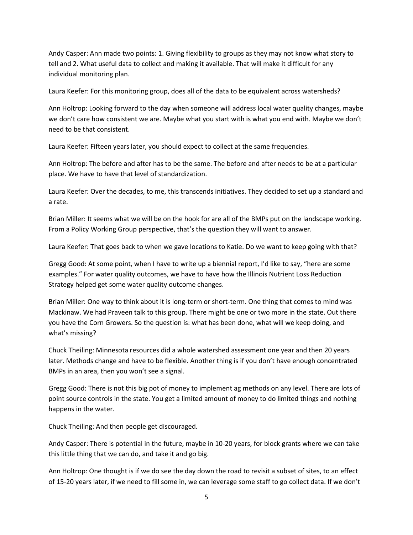Andy Casper: Ann made two points: 1. Giving flexibility to groups as they may not know what story to tell and 2. What useful data to collect and making it available. That will make it difficult for any individual monitoring plan.

Laura Keefer: For this monitoring group, does all of the data to be equivalent across watersheds?

Ann Holtrop: Looking forward to the day when someone will address local water quality changes, maybe we don't care how consistent we are. Maybe what you start with is what you end with. Maybe we don't need to be that consistent.

Laura Keefer: Fifteen years later, you should expect to collect at the same frequencies.

Ann Holtrop: The before and after has to be the same. The before and after needs to be at a particular place. We have to have that level of standardization.

Laura Keefer: Over the decades, to me, this transcends initiatives. They decided to set up a standard and a rate.

Brian Miller: It seems what we will be on the hook for are all of the BMPs put on the landscape working. From a Policy Working Group perspective, that's the question they will want to answer.

Laura Keefer: That goes back to when we gave locations to Katie. Do we want to keep going with that?

Gregg Good: At some point, when I have to write up a biennial report, I'd like to say, "here are some examples." For water quality outcomes, we have to have how the Illinois Nutrient Loss Reduction Strategy helped get some water quality outcome changes.

Brian Miller: One way to think about it is long-term or short-term. One thing that comes to mind was Mackinaw. We had Praveen talk to this group. There might be one or two more in the state. Out there you have the Corn Growers. So the question is: what has been done, what will we keep doing, and what's missing?

Chuck Theiling: Minnesota resources did a whole watershed assessment one year and then 20 years later. Methods change and have to be flexible. Another thing is if you don't have enough concentrated BMPs in an area, then you won't see a signal.

Gregg Good: There is not this big pot of money to implement ag methods on any level. There are lots of point source controls in the state. You get a limited amount of money to do limited things and nothing happens in the water.

Chuck Theiling: And then people get discouraged.

Andy Casper: There is potential in the future, maybe in 10-20 years, for block grants where we can take this little thing that we can do, and take it and go big.

Ann Holtrop: One thought is if we do see the day down the road to revisit a subset of sites, to an effect of 15-20 years later, if we need to fill some in, we can leverage some staff to go collect data. If we don't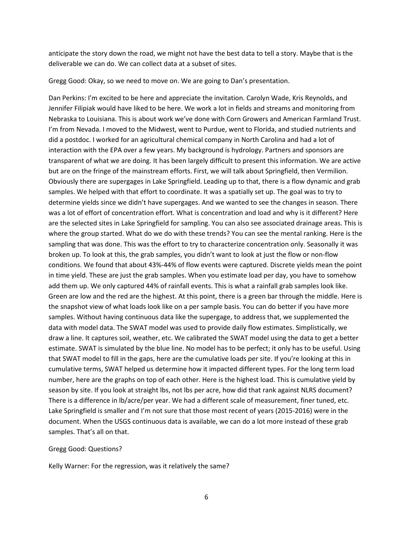anticipate the story down the road, we might not have the best data to tell a story. Maybe that is the deliverable we can do. We can collect data at a subset of sites.

Gregg Good: Okay, so we need to move on. We are going to Dan's presentation.

Dan Perkins: I'm excited to be here and appreciate the invitation. Carolyn Wade, Kris Reynolds, and Jennifer Filipiak would have liked to be here. We work a lot in fields and streams and monitoring from Nebraska to Louisiana. This is about work we've done with Corn Growers and American Farmland Trust. I'm from Nevada. I moved to the Midwest, went to Purdue, went to Florida, and studied nutrients and did a postdoc. I worked for an agricultural chemical company in North Carolina and had a lot of interaction with the EPA over a few years. My background is hydrology. Partners and sponsors are transparent of what we are doing. It has been largely difficult to present this information. We are active but are on the fringe of the mainstream efforts. First, we will talk about Springfield, then Vermilion. Obviously there are supergages in Lake Springfield. Leading up to that, there is a flow dynamic and grab samples. We helped with that effort to coordinate. It was a spatially set up. The goal was to try to determine yields since we didn't have supergages. And we wanted to see the changes in season. There was a lot of effort of concentration effort. What is concentration and load and why is it different? Here are the selected sites in Lake Springfield for sampling. You can also see associated drainage areas. This is where the group started. What do we do with these trends? You can see the mental ranking. Here is the sampling that was done. This was the effort to try to characterize concentration only. Seasonally it was broken up. To look at this, the grab samples, you didn't want to look at just the flow or non-flow conditions. We found that about 43%-44% of flow events were captured. Discrete yields mean the point in time yield. These are just the grab samples. When you estimate load per day, you have to somehow add them up. We only captured 44% of rainfall events. This is what a rainfall grab samples look like. Green are low and the red are the highest. At this point, there is a green bar through the middle. Here is the snapshot view of what loads look like on a per sample basis. You can do better if you have more samples. Without having continuous data like the supergage, to address that, we supplemented the data with model data. The SWAT model was used to provide daily flow estimates. Simplistically, we draw a line. It captures soil, weather, etc. We calibrated the SWAT model using the data to get a better estimate. SWAT is simulated by the blue line. No model has to be perfect; it only has to be useful. Using that SWAT model to fill in the gaps, here are the cumulative loads per site. If you're looking at this in cumulative terms, SWAT helped us determine how it impacted different types. For the long term load number, here are the graphs on top of each other. Here is the highest load. This is cumulative yield by season by site. If you look at straight lbs, not lbs per acre, how did that rank against NLRS document? There is a difference in lb/acre/per year. We had a different scale of measurement, finer tuned, etc. Lake Springfield is smaller and I'm not sure that those most recent of years (2015-2016) were in the document. When the USGS continuous data is available, we can do a lot more instead of these grab samples. That's all on that.

#### Gregg Good: Questions?

Kelly Warner: For the regression, was it relatively the same?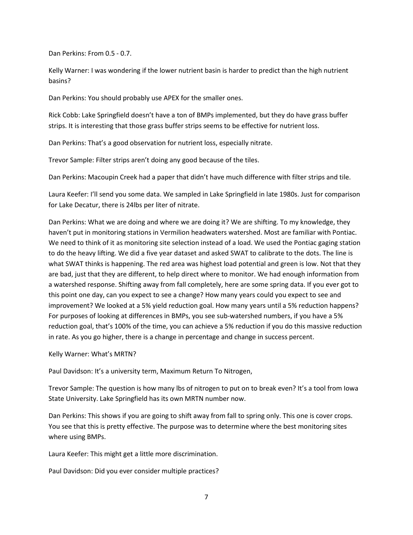Dan Perkins: From 0.5 - 0.7.

Kelly Warner: I was wondering if the lower nutrient basin is harder to predict than the high nutrient basins?

Dan Perkins: You should probably use APEX for the smaller ones.

Rick Cobb: Lake Springfield doesn't have a ton of BMPs implemented, but they do have grass buffer strips. It is interesting that those grass buffer strips seems to be effective for nutrient loss.

Dan Perkins: That's a good observation for nutrient loss, especially nitrate.

Trevor Sample: Filter strips aren't doing any good because of the tiles.

Dan Perkins: Macoupin Creek had a paper that didn't have much difference with filter strips and tile.

Laura Keefer: I'll send you some data. We sampled in Lake Springfield in late 1980s. Just for comparison for Lake Decatur, there is 24lbs per liter of nitrate.

Dan Perkins: What we are doing and where we are doing it? We are shifting. To my knowledge, they haven't put in monitoring stations in Vermilion headwaters watershed. Most are familiar with Pontiac. We need to think of it as monitoring site selection instead of a load. We used the Pontiac gaging station to do the heavy lifting. We did a five year dataset and asked SWAT to calibrate to the dots. The line is what SWAT thinks is happening. The red area was highest load potential and green is low. Not that they are bad, just that they are different, to help direct where to monitor. We had enough information from a watershed response. Shifting away from fall completely, here are some spring data. If you ever got to this point one day, can you expect to see a change? How many years could you expect to see and improvement? We looked at a 5% yield reduction goal. How many years until a 5% reduction happens? For purposes of looking at differences in BMPs, you see sub-watershed numbers, if you have a 5% reduction goal, that's 100% of the time, you can achieve a 5% reduction if you do this massive reduction in rate. As you go higher, there is a change in percentage and change in success percent.

Kelly Warner: What's MRTN?

Paul Davidson: It's a university term, Maximum Return To Nitrogen,

Trevor Sample: The question is how many lbs of nitrogen to put on to break even? It's a tool from Iowa State University. Lake Springfield has its own MRTN number now.

Dan Perkins: This shows if you are going to shift away from fall to spring only. This one is cover crops. You see that this is pretty effective. The purpose was to determine where the best monitoring sites where using BMPs.

Laura Keefer: This might get a little more discrimination.

Paul Davidson: Did you ever consider multiple practices?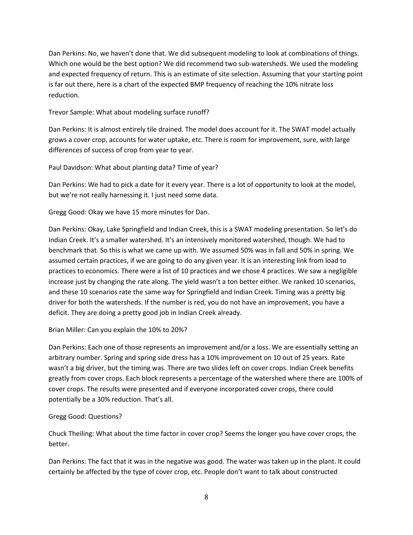Dan Perkins: No, we haven't done that. We did subsequent modeling to look at combinations of things. Which one would be the best option? We did recommend two sub-watersheds. We used the modeling and expected frequency of return. This is an estimate of site selection. Assuming that your starting point is far out there, here is a chart of the expected BMP frequency of reaching the 10% nitrate loss reduction.

Trevor Sample: What about modeling surface runoff?

Dan Perkins: It is almost entirely tile drained. The model does account for it. The SWAT model actually grows a cover crop, accounts for water uptake, etc. There is room for improvement, sure, with large differences of success of crop from year to year.

Paul Davidson: What about planting data? Time of year?

Dan Perkins: We had to pick a date for it every year. There is a lot of opportunity to look at the model, but we're not really harnessing it. I just need some data.

Gregg Good: Okay we have 15 more minutes for Dan.

Dan Perkins: Okay, Lake Springfield and Indian Creek, this is a SWAT modeling presentation. So let's do Indian Creek. It's a smaller watershed. It's an intensively monitored watershed, though. We had to benchmark that. So this is what we came up with. We assumed 50% was in fall and 50% in spring. We assumed certain practices, if we are going to do any given year. It is an interesting link from load to practices to economics. There were a list of 10 practices and we chose 4 practices. We saw a negligible increase just by changing the rate along. The yield wasn't a ton better either. We ranked 10 scenarios, and these 10 scenarios rate the same way for Springfield and Indian Creek. Timing was a pretty big driver for both the watersheds. If the number is red, you do not have an improvement, you have a deficit. They are doing a pretty good job in Indian Creek already.

Brian Miller: Can you explain the 10% to 20%?

Dan Perkins: Each one of those represents an improvement and/or a loss. We are essentially setting an arbitrary number. Spring and spring side dress has a 10% improvement on 10 out of 25 years. Rate wasn't a big driver, but the timing was. There are two slides left on cover crops. Indian Creek benefits greatly from cover crops. Each block represents a percentage of the watershed where there are 100% of cover crops. The results were presented and if everyone incorporated cover crops, there could potentially be a 30% reduction. That's all.

### Gregg Good: Questions?

Chuck Theiling: What about the time factor in cover crop? Seems the longer you have cover crops, the better.

Dan Perkins: The fact that it was in the negative was good. The water was taken up in the plant. It could certainly be affected by the type of cover crop, etc. People don't want to talk about constructed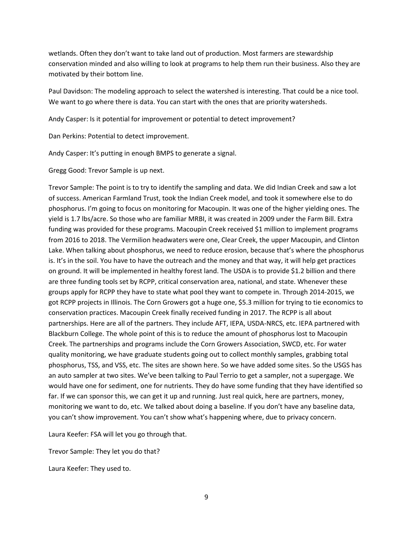wetlands. Often they don't want to take land out of production. Most farmers are stewardship conservation minded and also willing to look at programs to help them run their business. Also they are motivated by their bottom line.

Paul Davidson: The modeling approach to select the watershed is interesting. That could be a nice tool. We want to go where there is data. You can start with the ones that are priority watersheds.

Andy Casper: Is it potential for improvement or potential to detect improvement?

Dan Perkins: Potential to detect improvement.

Andy Casper: It's putting in enough BMPS to generate a signal.

Gregg Good: Trevor Sample is up next.

Trevor Sample: The point is to try to identify the sampling and data. We did Indian Creek and saw a lot of success. American Farmland Trust, took the Indian Creek model, and took it somewhere else to do phosphorus. I'm going to focus on monitoring for Macoupin. It was one of the higher yielding ones. The yield is 1.7 lbs/acre. So those who are familiar MRBI, it was created in 2009 under the Farm Bill. Extra funding was provided for these programs. Macoupin Creek received \$1 million to implement programs from 2016 to 2018. The Vermilion headwaters were one, Clear Creek, the upper Macoupin, and Clinton Lake. When talking about phosphorus, we need to reduce erosion, because that's where the phosphorus is. It's in the soil. You have to have the outreach and the money and that way, it will help get practices on ground. It will be implemented in healthy forest land. The USDA is to provide \$1.2 billion and there are three funding tools set by RCPP, critical conservation area, national, and state. Whenever these groups apply for RCPP they have to state what pool they want to compete in. Through 2014-2015, we got RCPP projects in Illinois. The Corn Growers got a huge one, \$5.3 million for trying to tie economics to conservation practices. Macoupin Creek finally received funding in 2017. The RCPP is all about partnerships. Here are all of the partners. They include AFT, IEPA, USDA-NRCS, etc. IEPA partnered with Blackburn College. The whole point of this is to reduce the amount of phosphorus lost to Macoupin Creek. The partnerships and programs include the Corn Growers Association, SWCD, etc. For water quality monitoring, we have graduate students going out to collect monthly samples, grabbing total phosphorus, TSS, and VSS, etc. The sites are shown here. So we have added some sites. So the USGS has an auto sampler at two sites. We've been talking to Paul Terrio to get a sampler, not a supergage. We would have one for sediment, one for nutrients. They do have some funding that they have identified so far. If we can sponsor this, we can get it up and running. Just real quick, here are partners, money, monitoring we want to do, etc. We talked about doing a baseline. If you don't have any baseline data, you can't show improvement. You can't show what's happening where, due to privacy concern.

Laura Keefer: FSA will let you go through that.

Trevor Sample: They let you do that?

Laura Keefer: They used to.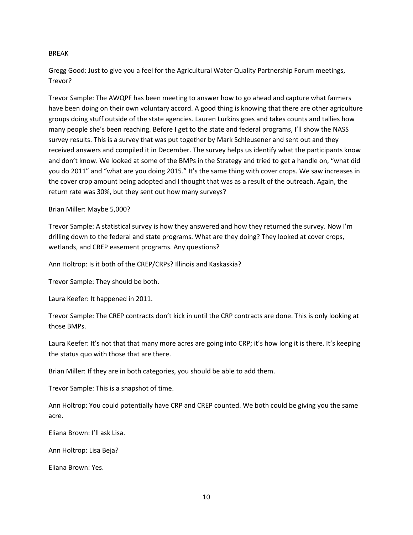#### BREAK

Gregg Good: Just to give you a feel for the Agricultural Water Quality Partnership Forum meetings, Trevor?

Trevor Sample: The AWQPF has been meeting to answer how to go ahead and capture what farmers have been doing on their own voluntary accord. A good thing is knowing that there are other agriculture groups doing stuff outside of the state agencies. Lauren Lurkins goes and takes counts and tallies how many people she's been reaching. Before I get to the state and federal programs, I'll show the NASS survey results. This is a survey that was put together by Mark Schleusener and sent out and they received answers and compiled it in December. The survey helps us identify what the participants know and don't know. We looked at some of the BMPs in the Strategy and tried to get a handle on, "what did you do 2011" and "what are you doing 2015." It's the same thing with cover crops. We saw increases in the cover crop amount being adopted and I thought that was as a result of the outreach. Again, the return rate was 30%, but they sent out how many surveys?

#### Brian Miller: Maybe 5,000?

Trevor Sample: A statistical survey is how they answered and how they returned the survey. Now I'm drilling down to the federal and state programs. What are they doing? They looked at cover crops, wetlands, and CREP easement programs. Any questions?

Ann Holtrop: Is it both of the CREP/CRPs? Illinois and Kaskaskia?

Trevor Sample: They should be both.

Laura Keefer: It happened in 2011.

Trevor Sample: The CREP contracts don't kick in until the CRP contracts are done. This is only looking at those BMPs.

Laura Keefer: It's not that that many more acres are going into CRP; it's how long it is there. It's keeping the status quo with those that are there.

Brian Miller: If they are in both categories, you should be able to add them.

Trevor Sample: This is a snapshot of time.

Ann Holtrop: You could potentially have CRP and CREP counted. We both could be giving you the same acre.

Eliana Brown: I'll ask Lisa.

Ann Holtrop: Lisa Beja?

Eliana Brown: Yes.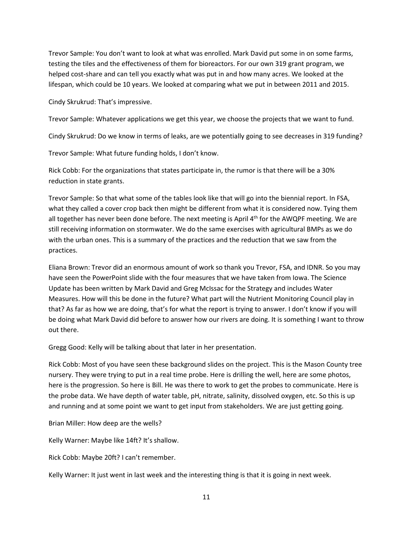Trevor Sample: You don't want to look at what was enrolled. Mark David put some in on some farms, testing the tiles and the effectiveness of them for bioreactors. For our own 319 grant program, we helped cost-share and can tell you exactly what was put in and how many acres. We looked at the lifespan, which could be 10 years. We looked at comparing what we put in between 2011 and 2015.

Cindy Skrukrud: That's impressive.

Trevor Sample: Whatever applications we get this year, we choose the projects that we want to fund.

Cindy Skrukrud: Do we know in terms of leaks, are we potentially going to see decreases in 319 funding?

Trevor Sample: What future funding holds, I don't know.

Rick Cobb: For the organizations that states participate in, the rumor is that there will be a 30% reduction in state grants.

Trevor Sample: So that what some of the tables look like that will go into the biennial report. In FSA, what they called a cover crop back then might be different from what it is considered now. Tying them all together has never been done before. The next meeting is April 4<sup>th</sup> for the AWQPF meeting. We are still receiving information on stormwater. We do the same exercises with agricultural BMPs as we do with the urban ones. This is a summary of the practices and the reduction that we saw from the practices.

Eliana Brown: Trevor did an enormous amount of work so thank you Trevor, FSA, and IDNR. So you may have seen the PowerPoint slide with the four measures that we have taken from Iowa. The Science Update has been written by Mark David and Greg McIssac for the Strategy and includes Water Measures. How will this be done in the future? What part will the Nutrient Monitoring Council play in that? As far as how we are doing, that's for what the report is trying to answer. I don't know if you will be doing what Mark David did before to answer how our rivers are doing. It is something I want to throw out there.

Gregg Good: Kelly will be talking about that later in her presentation.

Rick Cobb: Most of you have seen these background slides on the project. This is the Mason County tree nursery. They were trying to put in a real time probe. Here is drilling the well, here are some photos, here is the progression. So here is Bill. He was there to work to get the probes to communicate. Here is the probe data. We have depth of water table, pH, nitrate, salinity, dissolved oxygen, etc. So this is up and running and at some point we want to get input from stakeholders. We are just getting going.

Brian Miller: How deep are the wells?

Kelly Warner: Maybe like 14ft? It's shallow.

Rick Cobb: Maybe 20ft? I can't remember.

Kelly Warner: It just went in last week and the interesting thing is that it is going in next week.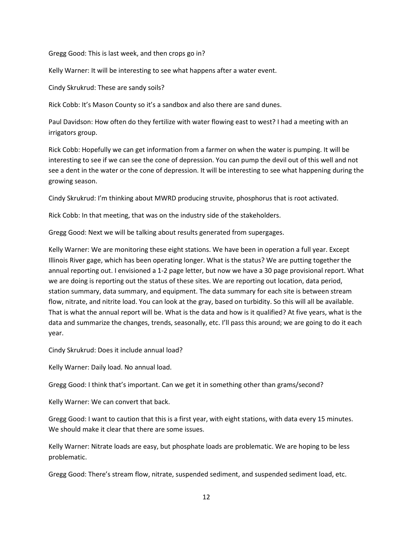Gregg Good: This is last week, and then crops go in?

Kelly Warner: It will be interesting to see what happens after a water event.

Cindy Skrukrud: These are sandy soils?

Rick Cobb: It's Mason County so it's a sandbox and also there are sand dunes.

Paul Davidson: How often do they fertilize with water flowing east to west? I had a meeting with an irrigators group.

Rick Cobb: Hopefully we can get information from a farmer on when the water is pumping. It will be interesting to see if we can see the cone of depression. You can pump the devil out of this well and not see a dent in the water or the cone of depression. It will be interesting to see what happening during the growing season.

Cindy Skrukrud: I'm thinking about MWRD producing struvite, phosphorus that is root activated.

Rick Cobb: In that meeting, that was on the industry side of the stakeholders.

Gregg Good: Next we will be talking about results generated from supergages.

Kelly Warner: We are monitoring these eight stations. We have been in operation a full year. Except Illinois River gage, which has been operating longer. What is the status? We are putting together the annual reporting out. I envisioned a 1-2 page letter, but now we have a 30 page provisional report. What we are doing is reporting out the status of these sites. We are reporting out location, data period, station summary, data summary, and equipment. The data summary for each site is between stream flow, nitrate, and nitrite load. You can look at the gray, based on turbidity. So this will all be available. That is what the annual report will be. What is the data and how is it qualified? At five years, what is the data and summarize the changes, trends, seasonally, etc. I'll pass this around; we are going to do it each year.

Cindy Skrukrud: Does it include annual load?

Kelly Warner: Daily load. No annual load.

Gregg Good: I think that's important. Can we get it in something other than grams/second?

Kelly Warner: We can convert that back.

Gregg Good: I want to caution that this is a first year, with eight stations, with data every 15 minutes. We should make it clear that there are some issues.

Kelly Warner: Nitrate loads are easy, but phosphate loads are problematic. We are hoping to be less problematic.

Gregg Good: There's stream flow, nitrate, suspended sediment, and suspended sediment load, etc.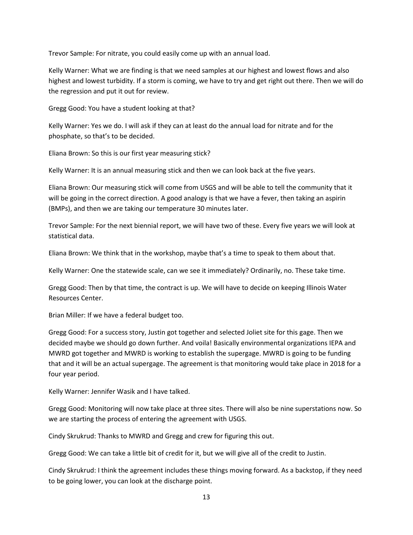Trevor Sample: For nitrate, you could easily come up with an annual load.

Kelly Warner: What we are finding is that we need samples at our highest and lowest flows and also highest and lowest turbidity. If a storm is coming, we have to try and get right out there. Then we will do the regression and put it out for review.

Gregg Good: You have a student looking at that?

Kelly Warner: Yes we do. I will ask if they can at least do the annual load for nitrate and for the phosphate, so that's to be decided.

Eliana Brown: So this is our first year measuring stick?

Kelly Warner: It is an annual measuring stick and then we can look back at the five years.

Eliana Brown: Our measuring stick will come from USGS and will be able to tell the community that it will be going in the correct direction. A good analogy is that we have a fever, then taking an aspirin (BMPs), and then we are taking our temperature 30 minutes later.

Trevor Sample: For the next biennial report, we will have two of these. Every five years we will look at statistical data.

Eliana Brown: We think that in the workshop, maybe that's a time to speak to them about that.

Kelly Warner: One the statewide scale, can we see it immediately? Ordinarily, no. These take time.

Gregg Good: Then by that time, the contract is up. We will have to decide on keeping Illinois Water Resources Center.

Brian Miller: If we have a federal budget too.

Gregg Good: For a success story, Justin got together and selected Joliet site for this gage. Then we decided maybe we should go down further. And voila! Basically environmental organizations IEPA and MWRD got together and MWRD is working to establish the supergage. MWRD is going to be funding that and it will be an actual supergage. The agreement is that monitoring would take place in 2018 for a four year period.

Kelly Warner: Jennifer Wasik and I have talked.

Gregg Good: Monitoring will now take place at three sites. There will also be nine superstations now. So we are starting the process of entering the agreement with USGS.

Cindy Skrukrud: Thanks to MWRD and Gregg and crew for figuring this out.

Gregg Good: We can take a little bit of credit for it, but we will give all of the credit to Justin.

Cindy Skrukrud: I think the agreement includes these things moving forward. As a backstop, if they need to be going lower, you can look at the discharge point.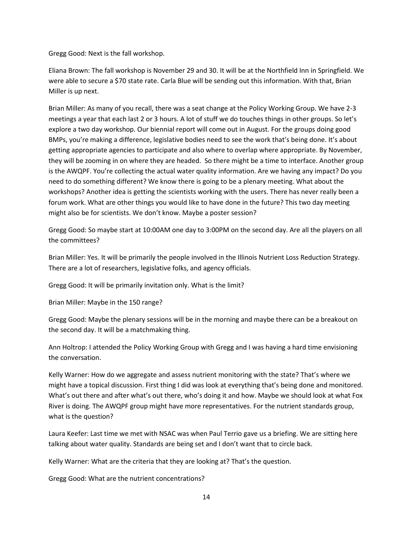Gregg Good: Next is the fall workshop.

Eliana Brown: The fall workshop is November 29 and 30. It will be at the Northfield Inn in Springfield. We were able to secure a \$70 state rate. Carla Blue will be sending out this information. With that, Brian Miller is up next.

Brian Miller: As many of you recall, there was a seat change at the Policy Working Group. We have 2-3 meetings a year that each last 2 or 3 hours. A lot of stuff we do touches things in other groups. So let's explore a two day workshop. Our biennial report will come out in August. For the groups doing good BMPs, you're making a difference, legislative bodies need to see the work that's being done. It's about getting appropriate agencies to participate and also where to overlap where appropriate. By November, they will be zooming in on where they are headed. So there might be a time to interface. Another group is the AWQPF. You're collecting the actual water quality information. Are we having any impact? Do you need to do something different? We know there is going to be a plenary meeting. What about the workshops? Another idea is getting the scientists working with the users. There has never really been a forum work. What are other things you would like to have done in the future? This two day meeting might also be for scientists. We don't know. Maybe a poster session?

Gregg Good: So maybe start at 10:00AM one day to 3:00PM on the second day. Are all the players on all the committees?

Brian Miller: Yes. It will be primarily the people involved in the Illinois Nutrient Loss Reduction Strategy. There are a lot of researchers, legislative folks, and agency officials.

Gregg Good: It will be primarily invitation only. What is the limit?

Brian Miller: Maybe in the 150 range?

Gregg Good: Maybe the plenary sessions will be in the morning and maybe there can be a breakout on the second day. It will be a matchmaking thing.

Ann Holtrop: I attended the Policy Working Group with Gregg and I was having a hard time envisioning the conversation.

Kelly Warner: How do we aggregate and assess nutrient monitoring with the state? That's where we might have a topical discussion. First thing I did was look at everything that's being done and monitored. What's out there and after what's out there, who's doing it and how. Maybe we should look at what Fox River is doing. The AWQPF group might have more representatives. For the nutrient standards group, what is the question?

Laura Keefer: Last time we met with NSAC was when Paul Terrio gave us a briefing. We are sitting here talking about water quality. Standards are being set and I don't want that to circle back.

Kelly Warner: What are the criteria that they are looking at? That's the question.

Gregg Good: What are the nutrient concentrations?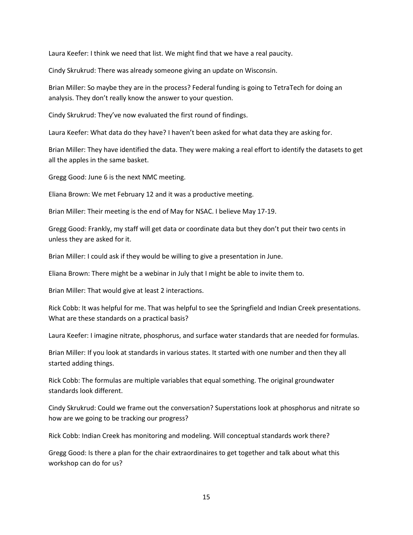Laura Keefer: I think we need that list. We might find that we have a real paucity.

Cindy Skrukrud: There was already someone giving an update on Wisconsin.

Brian Miller: So maybe they are in the process? Federal funding is going to TetraTech for doing an analysis. They don't really know the answer to your question.

Cindy Skrukrud: They've now evaluated the first round of findings.

Laura Keefer: What data do they have? I haven't been asked for what data they are asking for.

Brian Miller: They have identified the data. They were making a real effort to identify the datasets to get all the apples in the same basket.

Gregg Good: June 6 is the next NMC meeting.

Eliana Brown: We met February 12 and it was a productive meeting.

Brian Miller: Their meeting is the end of May for NSAC. I believe May 17-19.

Gregg Good: Frankly, my staff will get data or coordinate data but they don't put their two cents in unless they are asked for it.

Brian Miller: I could ask if they would be willing to give a presentation in June.

Eliana Brown: There might be a webinar in July that I might be able to invite them to.

Brian Miller: That would give at least 2 interactions.

Rick Cobb: It was helpful for me. That was helpful to see the Springfield and Indian Creek presentations. What are these standards on a practical basis?

Laura Keefer: I imagine nitrate, phosphorus, and surface water standards that are needed for formulas.

Brian Miller: If you look at standards in various states. It started with one number and then they all started adding things.

Rick Cobb: The formulas are multiple variables that equal something. The original groundwater standards look different.

Cindy Skrukrud: Could we frame out the conversation? Superstations look at phosphorus and nitrate so how are we going to be tracking our progress?

Rick Cobb: Indian Creek has monitoring and modeling. Will conceptual standards work there?

Gregg Good: Is there a plan for the chair extraordinaires to get together and talk about what this workshop can do for us?